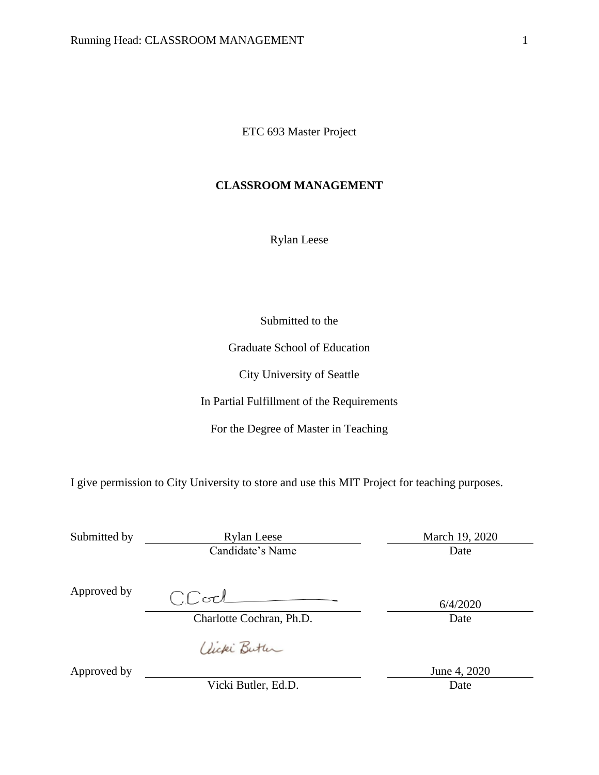ETC 693 Master Project

## **CLASSROOM MANAGEMENT**

Rylan Leese

Submitted to the

Graduate School of Education

City University of Seattle

In Partial Fulfillment of the Requirements

For the Degree of Master in Teaching

I give permission to City University to store and use this MIT Project for teaching purposes.

| Submitted by | <b>Rylan Leese</b>       | March 19, 2020 |  |
|--------------|--------------------------|----------------|--|
|              | Candidate's Name         | Date           |  |
| Approved by  | $CC$ ocl                 |                |  |
|              |                          | 6/4/2020       |  |
|              | Charlotte Cochran, Ph.D. | Date           |  |
|              | aucki Butter             |                |  |
| Approved by  |                          | June 4, 2020   |  |

Vicki Butler, Ed.D. Date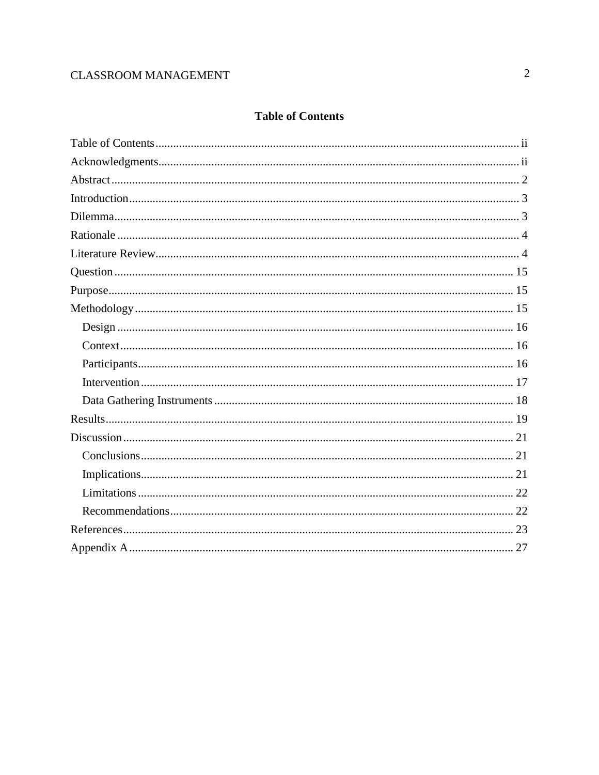# **CLASSROOM MANAGEMENT**

## **Table of Contents**

<span id="page-1-0"></span>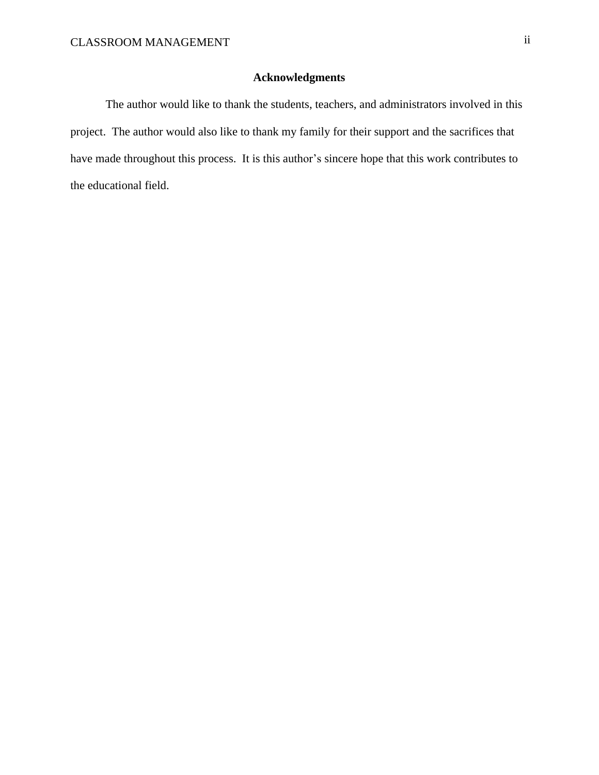## **Acknowledgments**

<span id="page-2-0"></span>The author would like to thank the students, teachers, and administrators involved in this project. The author would also like to thank my family for their support and the sacrifices that have made throughout this process. It is this author's sincere hope that this work contributes to the educational field.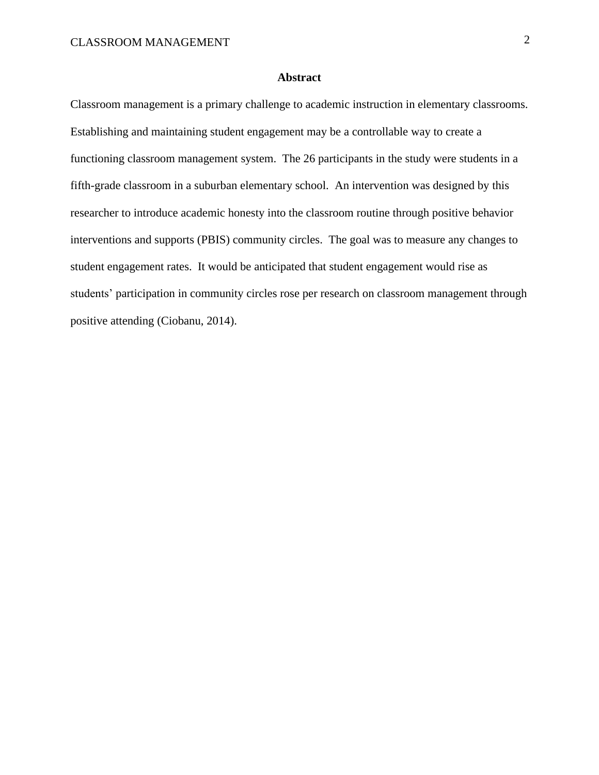#### **Abstract**

<span id="page-3-0"></span>Classroom management is a primary challenge to academic instruction in elementary classrooms. Establishing and maintaining student engagement may be a controllable way to create a functioning classroom management system. The 26 participants in the study were students in a fifth-grade classroom in a suburban elementary school. An intervention was designed by this researcher to introduce academic honesty into the classroom routine through positive behavior interventions and supports (PBIS) community circles. The goal was to measure any changes to student engagement rates. It would be anticipated that student engagement would rise as students' participation in community circles rose per research on classroom management through positive attending (Ciobanu, 2014).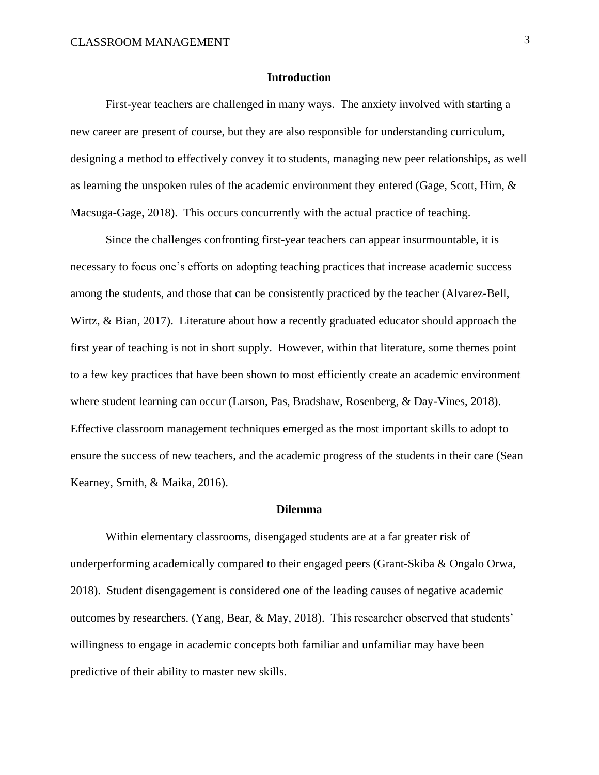#### **Introduction**

<span id="page-4-0"></span>First-year teachers are challenged in many ways. The anxiety involved with starting a new career are present of course, but they are also responsible for understanding curriculum, designing a method to effectively convey it to students, managing new peer relationships, as well as learning the unspoken rules of the academic environment they entered (Gage, Scott, Hirn, & Macsuga-Gage, 2018). This occurs concurrently with the actual practice of teaching.

Since the challenges confronting first-year teachers can appear insurmountable, it is necessary to focus one's efforts on adopting teaching practices that increase academic success among the students, and those that can be consistently practiced by the teacher (Alvarez-Bell, Wirtz, & Bian, 2017). Literature about how a recently graduated educator should approach the first year of teaching is not in short supply. However, within that literature, some themes point to a few key practices that have been shown to most efficiently create an academic environment where student learning can occur (Larson, Pas, Bradshaw, Rosenberg, & Day-Vines, 2018). Effective classroom management techniques emerged as the most important skills to adopt to ensure the success of new teachers, and the academic progress of the students in their care (Sean Kearney, Smith, & Maika, 2016).

#### **Dilemma**

<span id="page-4-1"></span>Within elementary classrooms, disengaged students are at a far greater risk of underperforming academically compared to their engaged peers (Grant-Skiba & Ongalo Orwa, 2018). Student disengagement is considered one of the leading causes of negative academic outcomes by researchers. (Yang, Bear, & May, 2018). This researcher observed that students' willingness to engage in academic concepts both familiar and unfamiliar may have been predictive of their ability to master new skills.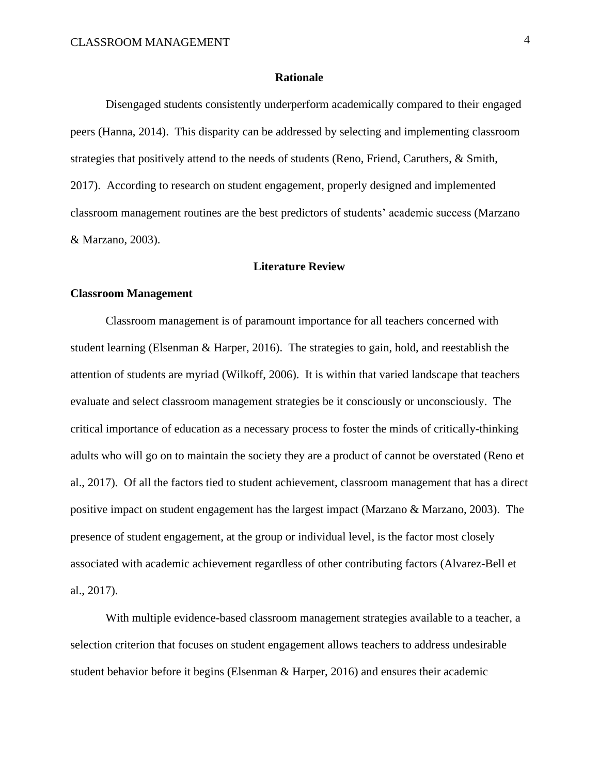#### **Rationale**

<span id="page-5-0"></span>Disengaged students consistently underperform academically compared to their engaged peers (Hanna, 2014). This disparity can be addressed by selecting and implementing classroom strategies that positively attend to the needs of students (Reno, Friend, Caruthers, & Smith, 2017). According to research on student engagement, properly designed and implemented classroom management routines are the best predictors of students' academic success (Marzano & Marzano, 2003).

#### **Literature Review**

#### <span id="page-5-1"></span>**Classroom Management**

Classroom management is of paramount importance for all teachers concerned with student learning (Elsenman & Harper, 2016). The strategies to gain, hold, and reestablish the attention of students are myriad (Wilkoff, 2006). It is within that varied landscape that teachers evaluate and select classroom management strategies be it consciously or unconsciously. The critical importance of education as a necessary process to foster the minds of critically-thinking adults who will go on to maintain the society they are a product of cannot be overstated (Reno et al., 2017). Of all the factors tied to student achievement, classroom management that has a direct positive impact on student engagement has the largest impact (Marzano & Marzano, 2003). The presence of student engagement, at the group or individual level, is the factor most closely associated with academic achievement regardless of other contributing factors (Alvarez-Bell et al., 2017).

With multiple evidence-based classroom management strategies available to a teacher, a selection criterion that focuses on student engagement allows teachers to address undesirable student behavior before it begins (Elsenman & Harper, 2016) and ensures their academic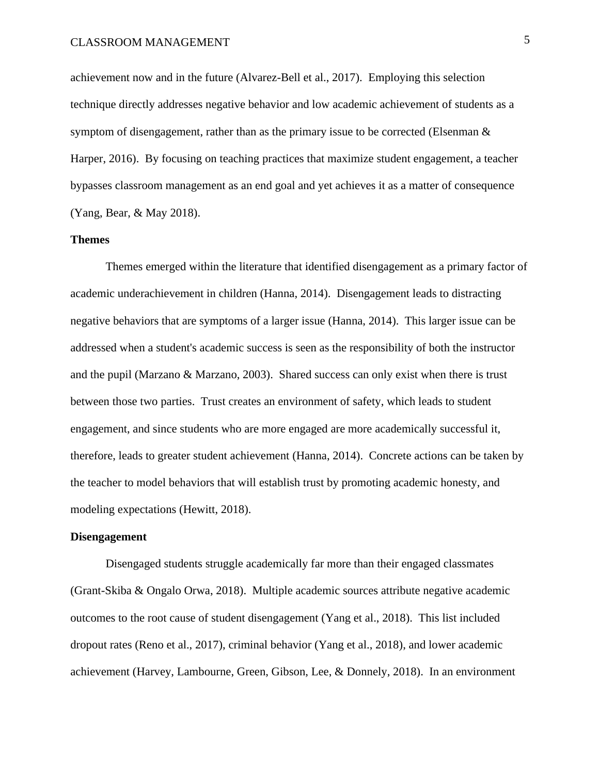achievement now and in the future (Alvarez-Bell et al., 2017). Employing this selection technique directly addresses negative behavior and low academic achievement of students as a symptom of disengagement, rather than as the primary issue to be corrected (Elsenman  $\&$ Harper, 2016). By focusing on teaching practices that maximize student engagement, a teacher bypasses classroom management as an end goal and yet achieves it as a matter of consequence (Yang, Bear, & May 2018).

#### **Themes**

Themes emerged within the literature that identified disengagement as a primary factor of academic underachievement in children (Hanna, 2014). Disengagement leads to distracting negative behaviors that are symptoms of a larger issue (Hanna, 2014). This larger issue can be addressed when a student's academic success is seen as the responsibility of both the instructor and the pupil (Marzano & Marzano, 2003). Shared success can only exist when there is trust between those two parties. Trust creates an environment of safety, which leads to student engagement, and since students who are more engaged are more academically successful it, therefore, leads to greater student achievement (Hanna, 2014). Concrete actions can be taken by the teacher to model behaviors that will establish trust by promoting academic honesty, and modeling expectations (Hewitt, 2018).

#### **Disengagement**

Disengaged students struggle academically far more than their engaged classmates (Grant-Skiba & Ongalo Orwa, 2018). Multiple academic sources attribute negative academic outcomes to the root cause of student disengagement (Yang et al., 2018). This list included dropout rates (Reno et al., 2017), criminal behavior (Yang et al., 2018), and lower academic achievement (Harvey, Lambourne, Green, Gibson, Lee, & Donnely, 2018). In an environment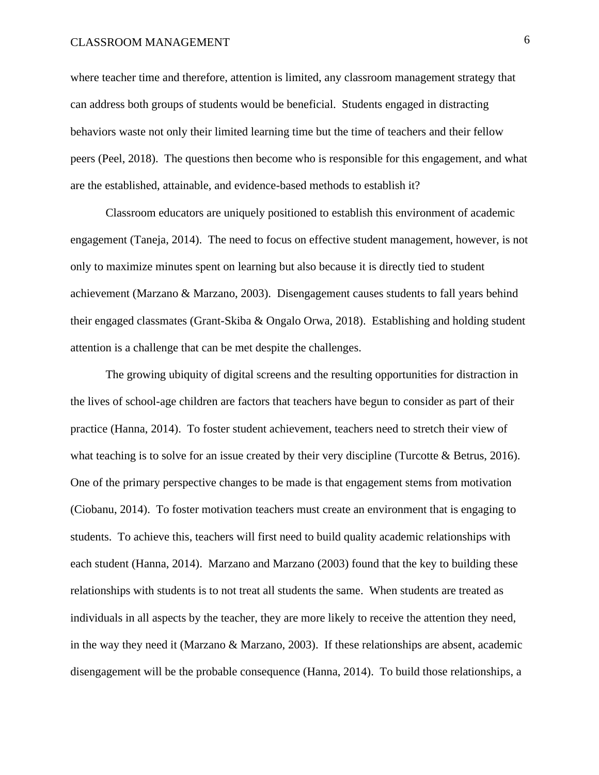## CLASSROOM MANAGEMENT 6

where teacher time and therefore, attention is limited, any classroom management strategy that can address both groups of students would be beneficial. Students engaged in distracting behaviors waste not only their limited learning time but the time of teachers and their fellow peers (Peel, 2018). The questions then become who is responsible for this engagement, and what are the established, attainable, and evidence-based methods to establish it?

Classroom educators are uniquely positioned to establish this environment of academic engagement (Taneja, 2014). The need to focus on effective student management, however, is not only to maximize minutes spent on learning but also because it is directly tied to student achievement (Marzano & Marzano, 2003). Disengagement causes students to fall years behind their engaged classmates (Grant-Skiba & Ongalo Orwa, 2018). Establishing and holding student attention is a challenge that can be met despite the challenges.

The growing ubiquity of digital screens and the resulting opportunities for distraction in the lives of school-age children are factors that teachers have begun to consider as part of their practice (Hanna, 2014). To foster student achievement, teachers need to stretch their view of what teaching is to solve for an issue created by their very discipline (Turcotte  $\&$  Betrus, 2016). One of the primary perspective changes to be made is that engagement stems from motivation (Ciobanu, 2014). To foster motivation teachers must create an environment that is engaging to students. To achieve this, teachers will first need to build quality academic relationships with each student (Hanna, 2014). Marzano and Marzano (2003) found that the key to building these relationships with students is to not treat all students the same. When students are treated as individuals in all aspects by the teacher, they are more likely to receive the attention they need, in the way they need it (Marzano & Marzano, 2003). If these relationships are absent, academic disengagement will be the probable consequence (Hanna, 2014). To build those relationships, a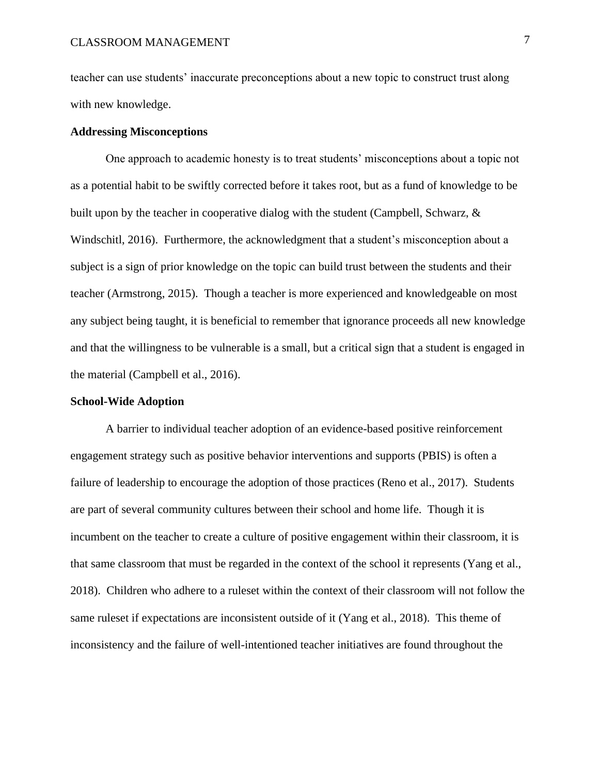teacher can use students' inaccurate preconceptions about a new topic to construct trust along with new knowledge.

#### **Addressing Misconceptions**

One approach to academic honesty is to treat students' misconceptions about a topic not as a potential habit to be swiftly corrected before it takes root, but as a fund of knowledge to be built upon by the teacher in cooperative dialog with the student (Campbell, Schwarz,  $\&$ Windschitl, 2016). Furthermore, the acknowledgment that a student's misconception about a subject is a sign of prior knowledge on the topic can build trust between the students and their teacher (Armstrong, 2015). Though a teacher is more experienced and knowledgeable on most any subject being taught, it is beneficial to remember that ignorance proceeds all new knowledge and that the willingness to be vulnerable is a small, but a critical sign that a student is engaged in the material (Campbell et al., 2016).

#### **School-Wide Adoption**

A barrier to individual teacher adoption of an evidence-based positive reinforcement engagement strategy such as positive behavior interventions and supports (PBIS) is often a failure of leadership to encourage the adoption of those practices (Reno et al., 2017). Students are part of several community cultures between their school and home life. Though it is incumbent on the teacher to create a culture of positive engagement within their classroom, it is that same classroom that must be regarded in the context of the school it represents (Yang et al., 2018). Children who adhere to a ruleset within the context of their classroom will not follow the same ruleset if expectations are inconsistent outside of it (Yang et al., 2018). This theme of inconsistency and the failure of well-intentioned teacher initiatives are found throughout the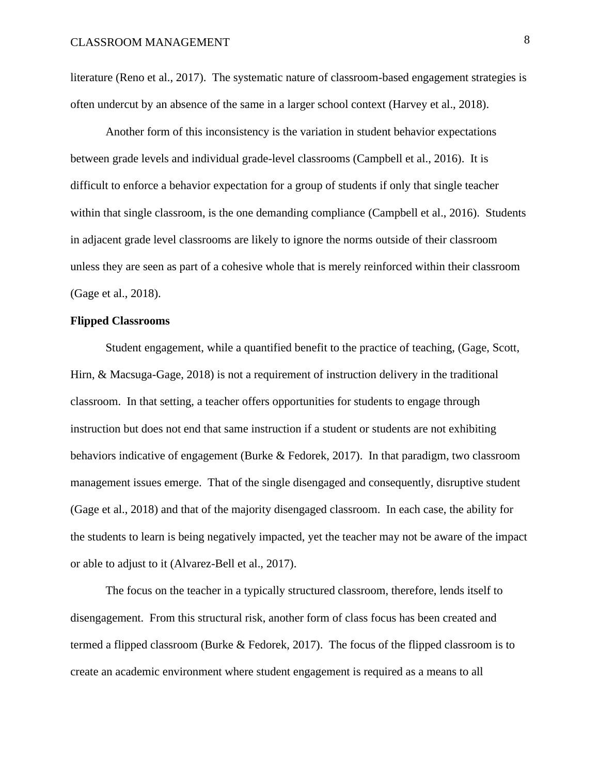literature (Reno et al., 2017). The systematic nature of classroom-based engagement strategies is often undercut by an absence of the same in a larger school context (Harvey et al., 2018).

Another form of this inconsistency is the variation in student behavior expectations between grade levels and individual grade-level classrooms (Campbell et al., 2016). It is difficult to enforce a behavior expectation for a group of students if only that single teacher within that single classroom, is the one demanding compliance (Campbell et al., 2016). Students in adjacent grade level classrooms are likely to ignore the norms outside of their classroom unless they are seen as part of a cohesive whole that is merely reinforced within their classroom (Gage et al., 2018).

#### **Flipped Classrooms**

Student engagement, while a quantified benefit to the practice of teaching, (Gage, Scott, Hirn, & Macsuga-Gage, 2018) is not a requirement of instruction delivery in the traditional classroom. In that setting, a teacher offers opportunities for students to engage through instruction but does not end that same instruction if a student or students are not exhibiting behaviors indicative of engagement (Burke & Fedorek, 2017). In that paradigm, two classroom management issues emerge. That of the single disengaged and consequently, disruptive student (Gage et al., 2018) and that of the majority disengaged classroom. In each case, the ability for the students to learn is being negatively impacted, yet the teacher may not be aware of the impact or able to adjust to it (Alvarez-Bell et al., 2017).

The focus on the teacher in a typically structured classroom, therefore, lends itself to disengagement. From this structural risk, another form of class focus has been created and termed a flipped classroom (Burke & Fedorek, 2017). The focus of the flipped classroom is to create an academic environment where student engagement is required as a means to all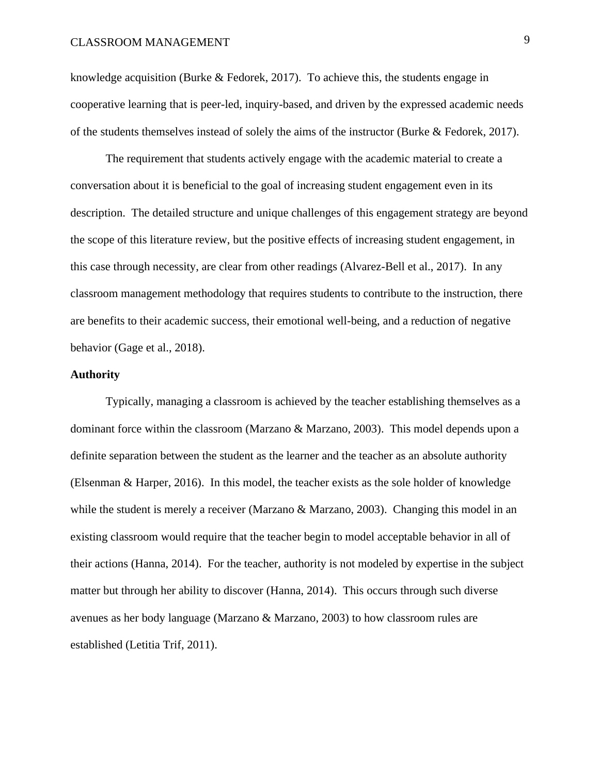knowledge acquisition (Burke & Fedorek, 2017). To achieve this, the students engage in cooperative learning that is peer-led, inquiry-based, and driven by the expressed academic needs of the students themselves instead of solely the aims of the instructor (Burke & Fedorek, 2017).

The requirement that students actively engage with the academic material to create a conversation about it is beneficial to the goal of increasing student engagement even in its description. The detailed structure and unique challenges of this engagement strategy are beyond the scope of this literature review, but the positive effects of increasing student engagement, in this case through necessity, are clear from other readings (Alvarez-Bell et al., 2017). In any classroom management methodology that requires students to contribute to the instruction, there are benefits to their academic success, their emotional well-being, and a reduction of negative behavior (Gage et al., 2018).

#### **Authority**

Typically, managing a classroom is achieved by the teacher establishing themselves as a dominant force within the classroom (Marzano & Marzano, 2003). This model depends upon a definite separation between the student as the learner and the teacher as an absolute authority (Elsenman & Harper, 2016). In this model, the teacher exists as the sole holder of knowledge while the student is merely a receiver (Marzano  $\&$  Marzano, 2003). Changing this model in an existing classroom would require that the teacher begin to model acceptable behavior in all of their actions (Hanna, 2014). For the teacher, authority is not modeled by expertise in the subject matter but through her ability to discover (Hanna, 2014). This occurs through such diverse avenues as her body language (Marzano & Marzano, 2003) to how classroom rules are established (Letitia Trif, 2011).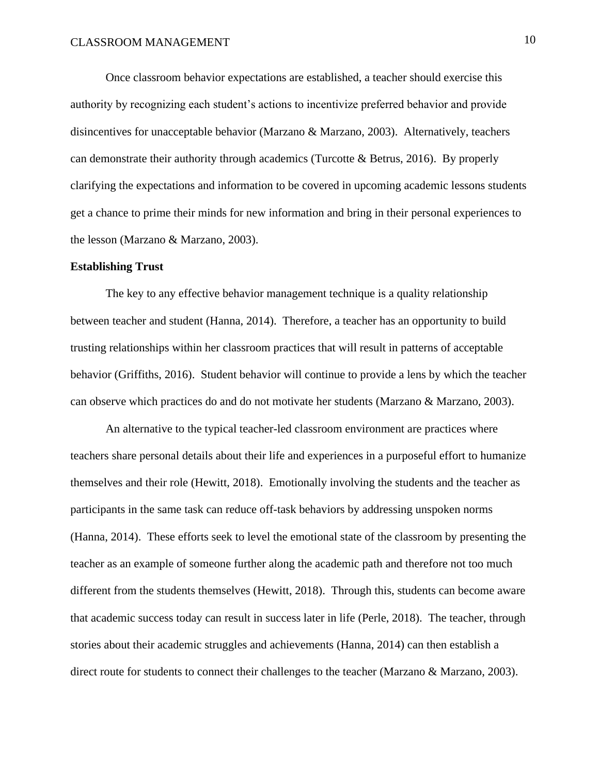Once classroom behavior expectations are established, a teacher should exercise this authority by recognizing each student's actions to incentivize preferred behavior and provide disincentives for unacceptable behavior (Marzano & Marzano, 2003). Alternatively, teachers can demonstrate their authority through academics (Turcotte & Betrus, 2016). By properly clarifying the expectations and information to be covered in upcoming academic lessons students get a chance to prime their minds for new information and bring in their personal experiences to the lesson (Marzano & Marzano, 2003).

#### **Establishing Trust**

The key to any effective behavior management technique is a quality relationship between teacher and student (Hanna, 2014). Therefore, a teacher has an opportunity to build trusting relationships within her classroom practices that will result in patterns of acceptable behavior (Griffiths, 2016). Student behavior will continue to provide a lens by which the teacher can observe which practices do and do not motivate her students (Marzano & Marzano, 2003).

An alternative to the typical teacher-led classroom environment are practices where teachers share personal details about their life and experiences in a purposeful effort to humanize themselves and their role (Hewitt, 2018). Emotionally involving the students and the teacher as participants in the same task can reduce off-task behaviors by addressing unspoken norms (Hanna, 2014). These efforts seek to level the emotional state of the classroom by presenting the teacher as an example of someone further along the academic path and therefore not too much different from the students themselves (Hewitt, 2018). Through this, students can become aware that academic success today can result in success later in life (Perle, 2018). The teacher, through stories about their academic struggles and achievements (Hanna, 2014) can then establish a direct route for students to connect their challenges to the teacher (Marzano & Marzano, 2003).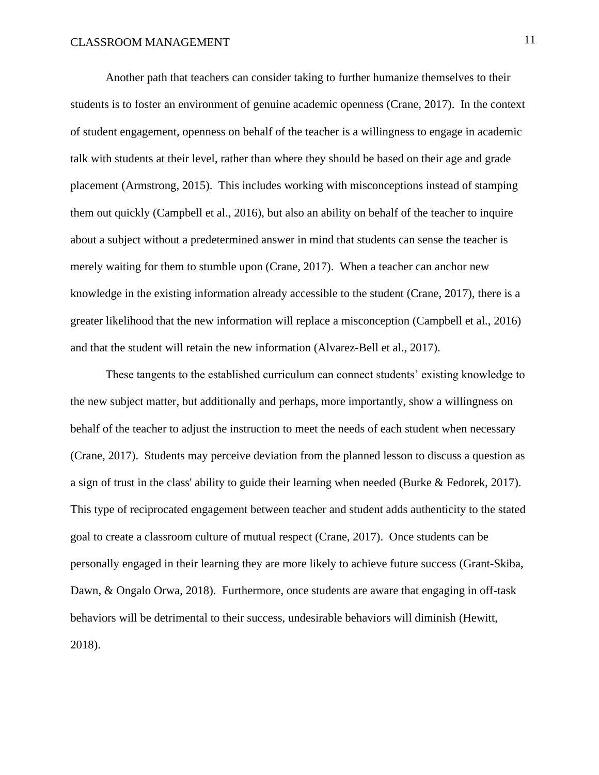Another path that teachers can consider taking to further humanize themselves to their students is to foster an environment of genuine academic openness (Crane, 2017). In the context of student engagement, openness on behalf of the teacher is a willingness to engage in academic talk with students at their level, rather than where they should be based on their age and grade placement (Armstrong, 2015). This includes working with misconceptions instead of stamping them out quickly (Campbell et al., 2016), but also an ability on behalf of the teacher to inquire about a subject without a predetermined answer in mind that students can sense the teacher is merely waiting for them to stumble upon (Crane, 2017). When a teacher can anchor new knowledge in the existing information already accessible to the student (Crane, 2017), there is a greater likelihood that the new information will replace a misconception (Campbell et al., 2016) and that the student will retain the new information (Alvarez-Bell et al., 2017).

These tangents to the established curriculum can connect students' existing knowledge to the new subject matter, but additionally and perhaps, more importantly, show a willingness on behalf of the teacher to adjust the instruction to meet the needs of each student when necessary (Crane, 2017). Students may perceive deviation from the planned lesson to discuss a question as a sign of trust in the class' ability to guide their learning when needed (Burke & Fedorek, 2017). This type of reciprocated engagement between teacher and student adds authenticity to the stated goal to create a classroom culture of mutual respect (Crane, 2017). Once students can be personally engaged in their learning they are more likely to achieve future success (Grant-Skiba, Dawn, & Ongalo Orwa, 2018). Furthermore, once students are aware that engaging in off-task behaviors will be detrimental to their success, undesirable behaviors will diminish (Hewitt, 2018).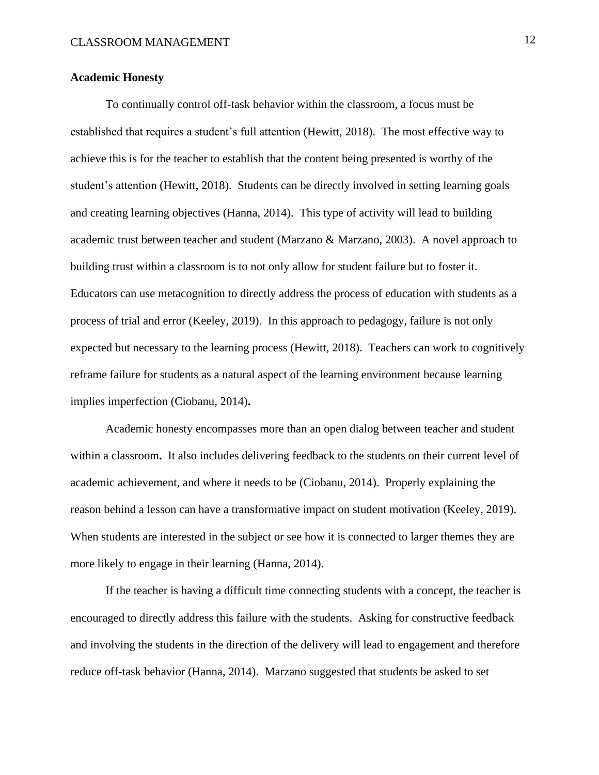#### **Academic Honesty**

To continually control off-task behavior within the classroom, a focus must be established that requires a student's full attention (Hewitt, 2018). The most effective way to achieve this is for the teacher to establish that the content being presented is worthy of the student's attention (Hewitt, 2018). Students can be directly involved in setting learning goals and creating learning objectives (Hanna, 2014). This type of activity will lead to building academic trust between teacher and student (Marzano & Marzano, 2003). A novel approach to building trust within a classroom is to not only allow for student failure but to foster it. Educators can use metacognition to directly address the process of education with students as a process of trial and error (Keeley, 2019). In this approach to pedagogy, failure is not only expected but necessary to the learning process (Hewitt, 2018). Teachers can work to cognitively reframe failure for students as a natural aspect of the learning environment because learning implies imperfection (Ciobanu, 2014)**.** 

Academic honesty encompasses more than an open dialog between teacher and student within a classroom**.** It also includes delivering feedback to the students on their current level of academic achievement, and where it needs to be (Ciobanu, 2014). Properly explaining the reason behind a lesson can have a transformative impact on student motivation (Keeley, 2019). When students are interested in the subject or see how it is connected to larger themes they are more likely to engage in their learning (Hanna, 2014).

If the teacher is having a difficult time connecting students with a concept, the teacher is encouraged to directly address this failure with the students.Asking for constructive feedback and involving the students in the direction of the delivery will lead to engagement and therefore reduce off-task behavior (Hanna, 2014). Marzano suggested that students be asked to set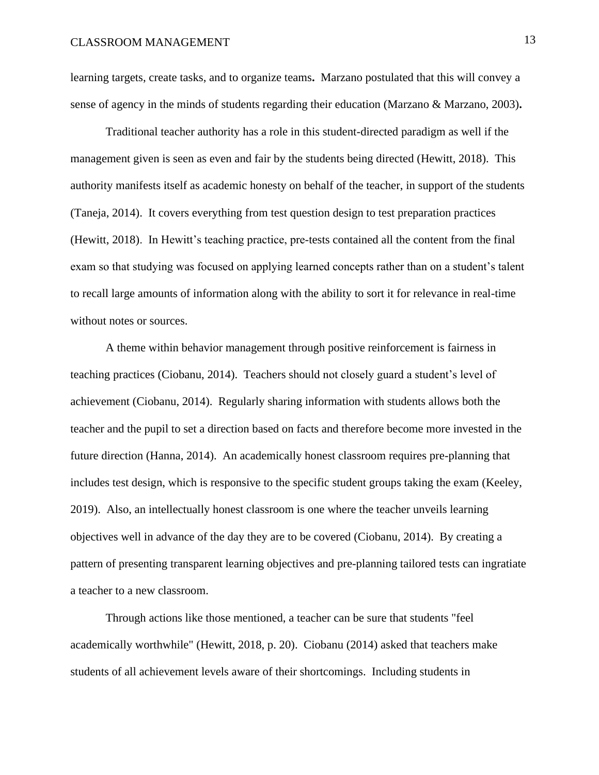learning targets, create tasks, and to organize teams**.** Marzano postulated that this will convey a sense of agency in the minds of students regarding their education (Marzano & Marzano, 2003)**.**

Traditional teacher authority has a role in this student-directed paradigm as well if the management given is seen as even and fair by the students being directed (Hewitt, 2018). This authority manifests itself as academic honesty on behalf of the teacher, in support of the students (Taneja, 2014). It covers everything from test question design to test preparation practices (Hewitt, 2018). In Hewitt's teaching practice, pre-tests contained all the content from the final exam so that studying was focused on applying learned concepts rather than on a student's talent to recall large amounts of information along with the ability to sort it for relevance in real-time without notes or sources.

A theme within behavior management through positive reinforcement is fairness in teaching practices (Ciobanu, 2014). Teachers should not closely guard a student's level of achievement (Ciobanu, 2014). Regularly sharing information with students allows both the teacher and the pupil to set a direction based on facts and therefore become more invested in the future direction (Hanna, 2014). An academically honest classroom requires pre-planning that includes test design, which is responsive to the specific student groups taking the exam (Keeley, 2019). Also, an intellectually honest classroom is one where the teacher unveils learning objectives well in advance of the day they are to be covered (Ciobanu, 2014). By creating a pattern of presenting transparent learning objectives and pre-planning tailored tests can ingratiate a teacher to a new classroom.

Through actions like those mentioned, a teacher can be sure that students "feel academically worthwhile" (Hewitt, 2018, p. 20). Ciobanu (2014) asked that teachers make students of all achievement levels aware of their shortcomings. Including students in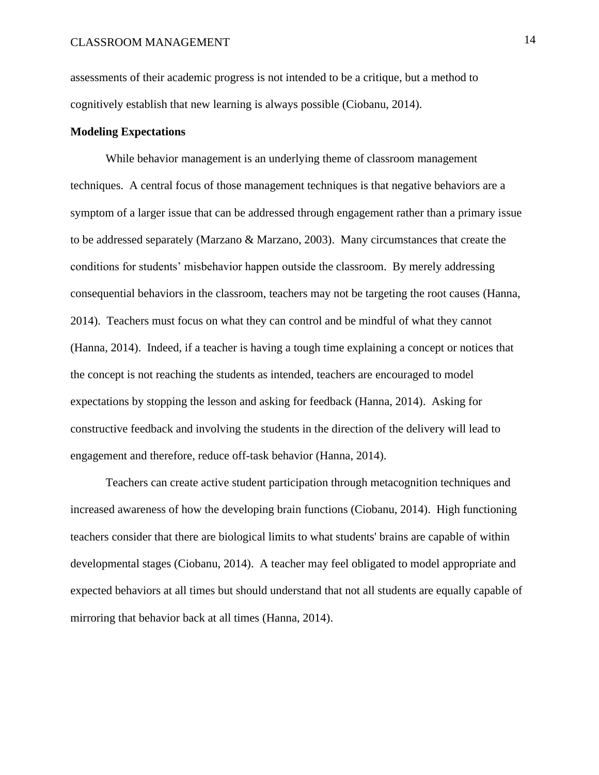assessments of their academic progress is not intended to be a critique, but a method to cognitively establish that new learning is always possible (Ciobanu, 2014).

#### **Modeling Expectations**

While behavior management is an underlying theme of classroom management techniques. A central focus of those management techniques is that negative behaviors are a symptom of a larger issue that can be addressed through engagement rather than a primary issue to be addressed separately (Marzano & Marzano, 2003). Many circumstances that create the conditions for students' misbehavior happen outside the classroom. By merely addressing consequential behaviors in the classroom, teachers may not be targeting the root causes (Hanna, 2014). Teachers must focus on what they can control and be mindful of what they cannot (Hanna, 2014). Indeed, if a teacher is having a tough time explaining a concept or notices that the concept is not reaching the students as intended, teachers are encouraged to model expectations by stopping the lesson and asking for feedback (Hanna, 2014). Asking for constructive feedback and involving the students in the direction of the delivery will lead to engagement and therefore, reduce off-task behavior (Hanna, 2014).

Teachers can create active student participation through metacognition techniques and increased awareness of how the developing brain functions (Ciobanu, 2014). High functioning teachers consider that there are biological limits to what students' brains are capable of within developmental stages (Ciobanu, 2014). A teacher may feel obligated to model appropriate and expected behaviors at all times but should understand that not all students are equally capable of mirroring that behavior back at all times (Hanna, 2014).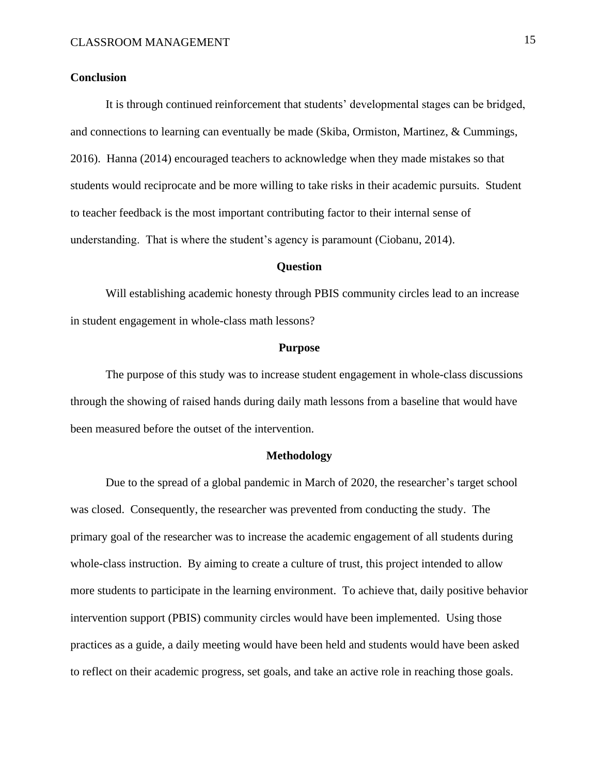#### **Conclusion**

It is through continued reinforcement that students' developmental stages can be bridged, and connections to learning can eventually be made (Skiba, Ormiston, Martinez, & Cummings, 2016). Hanna (2014) encouraged teachers to acknowledge when they made mistakes so that students would reciprocate and be more willing to take risks in their academic pursuits. Student to teacher feedback is the most important contributing factor to their internal sense of understanding. That is where the student's agency is paramount (Ciobanu, 2014).

#### **Question**

<span id="page-16-0"></span>Will establishing academic honesty through PBIS community circles lead to an increase in student engagement in whole-class math lessons?

#### **Purpose**

<span id="page-16-1"></span>The purpose of this study was to increase student engagement in whole-class discussions through the showing of raised hands during daily math lessons from a baseline that would have been measured before the outset of the intervention.

#### **Methodology**

<span id="page-16-2"></span>Due to the spread of a global pandemic in March of 2020, the researcher's target school was closed. Consequently, the researcher was prevented from conducting the study. The primary goal of the researcher was to increase the academic engagement of all students during whole-class instruction. By aiming to create a culture of trust, this project intended to allow more students to participate in the learning environment. To achieve that, daily positive behavior intervention support (PBIS) community circles would have been implemented. Using those practices as a guide, a daily meeting would have been held and students would have been asked to reflect on their academic progress, set goals, and take an active role in reaching those goals.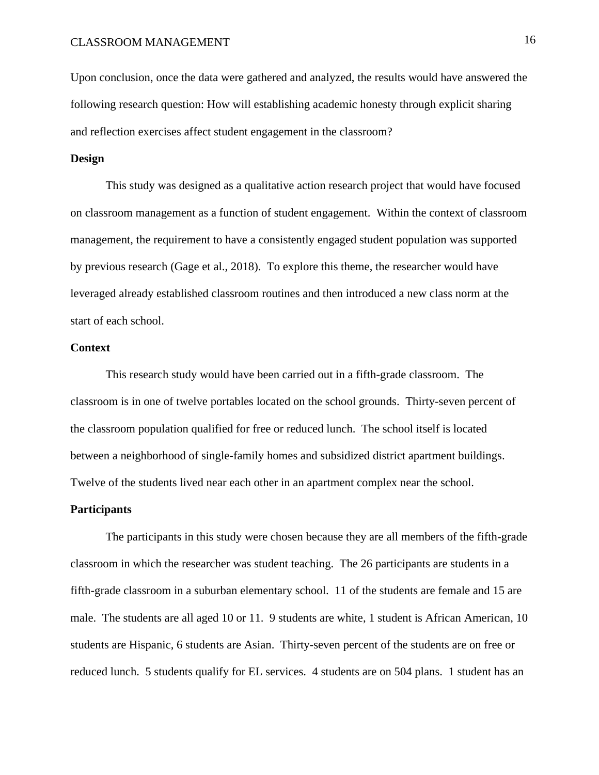Upon conclusion, once the data were gathered and analyzed, the results would have answered the following research question: How will establishing academic honesty through explicit sharing and reflection exercises affect student engagement in the classroom?

#### <span id="page-17-0"></span>**Design**

This study was designed as a qualitative action research project that would have focused on classroom management as a function of student engagement. Within the context of classroom management, the requirement to have a consistently engaged student population was supported by previous research (Gage et al., 2018). To explore this theme, the researcher would have leveraged already established classroom routines and then introduced a new class norm at the start of each school.

#### <span id="page-17-1"></span>**Context**

This research study would have been carried out in a fifth-grade classroom. The classroom is in one of twelve portables located on the school grounds. Thirty-seven percent of the classroom population qualified for free or reduced lunch. The school itself is located between a neighborhood of single-family homes and subsidized district apartment buildings. Twelve of the students lived near each other in an apartment complex near the school.

#### <span id="page-17-2"></span>**Participants**

The participants in this study were chosen because they are all members of the fifth-grade classroom in which the researcher was student teaching. The 26 participants are students in a fifth-grade classroom in a suburban elementary school. 11 of the students are female and 15 are male. The students are all aged 10 or 11. 9 students are white, 1 student is African American, 10 students are Hispanic, 6 students are Asian. Thirty-seven percent of the students are on free or reduced lunch. 5 students qualify for EL services. 4 students are on 504 plans. 1 student has an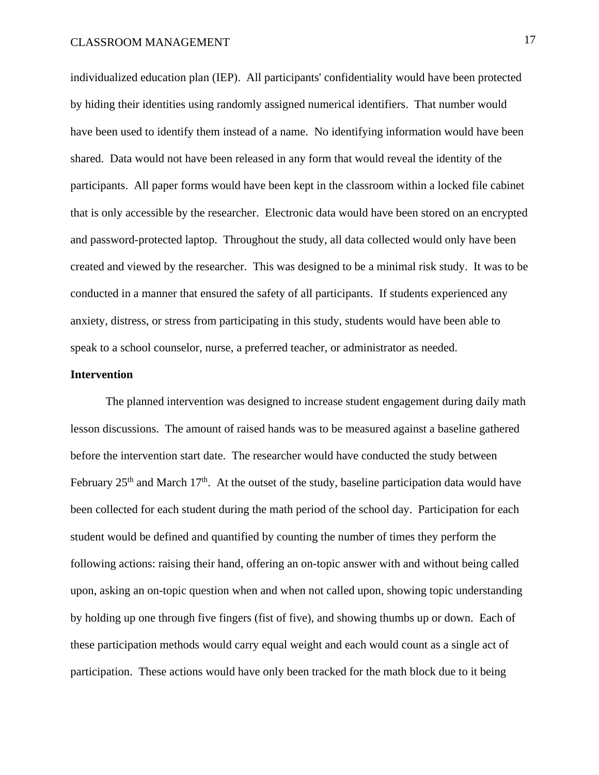individualized education plan (IEP). All participants' confidentiality would have been protected by hiding their identities using randomly assigned numerical identifiers. That number would have been used to identify them instead of a name. No identifying information would have been shared. Data would not have been released in any form that would reveal the identity of the participants. All paper forms would have been kept in the classroom within a locked file cabinet that is only accessible by the researcher. Electronic data would have been stored on an encrypted and password-protected laptop. Throughout the study, all data collected would only have been created and viewed by the researcher. This was designed to be a minimal risk study. It was to be conducted in a manner that ensured the safety of all participants. If students experienced any anxiety, distress, or stress from participating in this study, students would have been able to speak to a school counselor, nurse, a preferred teacher, or administrator as needed.

#### <span id="page-18-0"></span>**Intervention**

The planned intervention was designed to increase student engagement during daily math lesson discussions. The amount of raised hands was to be measured against a baseline gathered before the intervention start date. The researcher would have conducted the study between February  $25<sup>th</sup>$  and March 17<sup>th</sup>. At the outset of the study, baseline participation data would have been collected for each student during the math period of the school day. Participation for each student would be defined and quantified by counting the number of times they perform the following actions: raising their hand, offering an on-topic answer with and without being called upon, asking an on-topic question when and when not called upon, showing topic understanding by holding up one through five fingers (fist of five), and showing thumbs up or down. Each of these participation methods would carry equal weight and each would count as a single act of participation. These actions would have only been tracked for the math block due to it being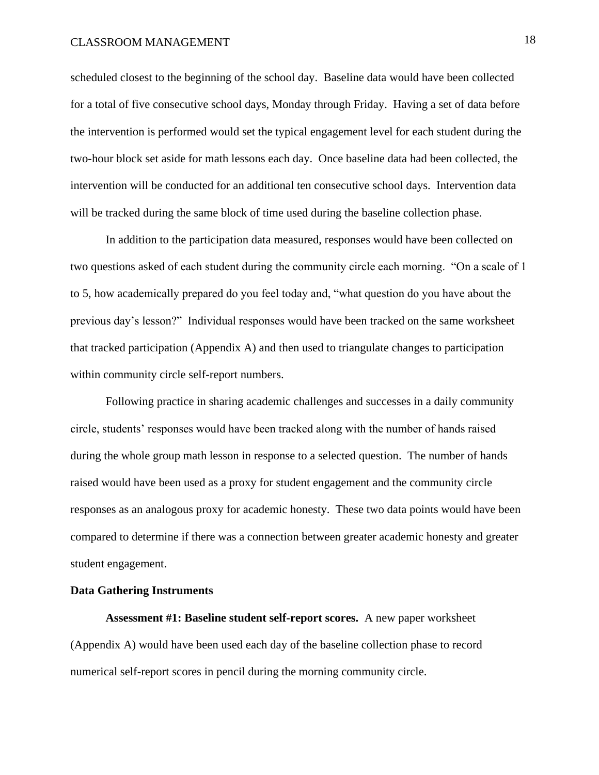## CLASSROOM MANAGEMENT 18

scheduled closest to the beginning of the school day. Baseline data would have been collected for a total of five consecutive school days, Monday through Friday. Having a set of data before the intervention is performed would set the typical engagement level for each student during the two-hour block set aside for math lessons each day. Once baseline data had been collected, the intervention will be conducted for an additional ten consecutive school days. Intervention data will be tracked during the same block of time used during the baseline collection phase.

In addition to the participation data measured, responses would have been collected on two questions asked of each student during the community circle each morning. "On a scale of 1 to 5, how academically prepared do you feel today and, "what question do you have about the previous day's lesson?" Individual responses would have been tracked on the same worksheet that tracked participation (Appendix A) and then used to triangulate changes to participation within community circle self-report numbers.

Following practice in sharing academic challenges and successes in a daily community circle, students' responses would have been tracked along with the number of hands raised during the whole group math lesson in response to a selected question. The number of hands raised would have been used as a proxy for student engagement and the community circle responses as an analogous proxy for academic honesty. These two data points would have been compared to determine if there was a connection between greater academic honesty and greater student engagement.

#### <span id="page-19-0"></span>**Data Gathering Instruments**

**Assessment #1: Baseline student self-report scores.** A new paper worksheet (Appendix A) would have been used each day of the baseline collection phase to record numerical self-report scores in pencil during the morning community circle.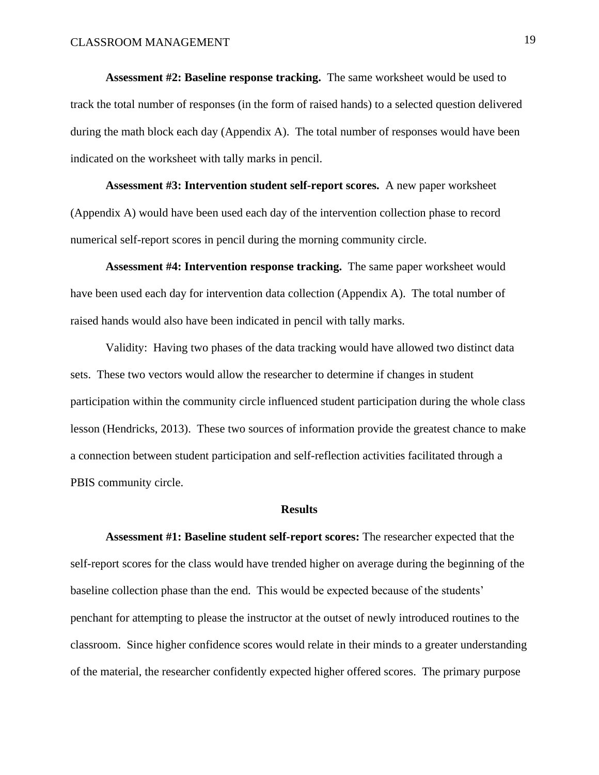**Assessment #2: Baseline response tracking.** The same worksheet would be used to track the total number of responses (in the form of raised hands) to a selected question delivered during the math block each day (Appendix A). The total number of responses would have been indicated on the worksheet with tally marks in pencil.

**Assessment #3: Intervention student self-report scores.** A new paper worksheet (Appendix A) would have been used each day of the intervention collection phase to record numerical self-report scores in pencil during the morning community circle.

**Assessment #4: Intervention response tracking.** The same paper worksheet would have been used each day for intervention data collection (Appendix A). The total number of raised hands would also have been indicated in pencil with tally marks.

Validity: Having two phases of the data tracking would have allowed two distinct data sets. These two vectors would allow the researcher to determine if changes in student participation within the community circle influenced student participation during the whole class lesson (Hendricks, 2013). These two sources of information provide the greatest chance to make a connection between student participation and self-reflection activities facilitated through a PBIS community circle.

#### **Results**

<span id="page-20-0"></span>**Assessment #1: Baseline student self-report scores:** The researcher expected that the self-report scores for the class would have trended higher on average during the beginning of the baseline collection phase than the end. This would be expected because of the students' penchant for attempting to please the instructor at the outset of newly introduced routines to the classroom. Since higher confidence scores would relate in their minds to a greater understanding of the material, the researcher confidently expected higher offered scores. The primary purpose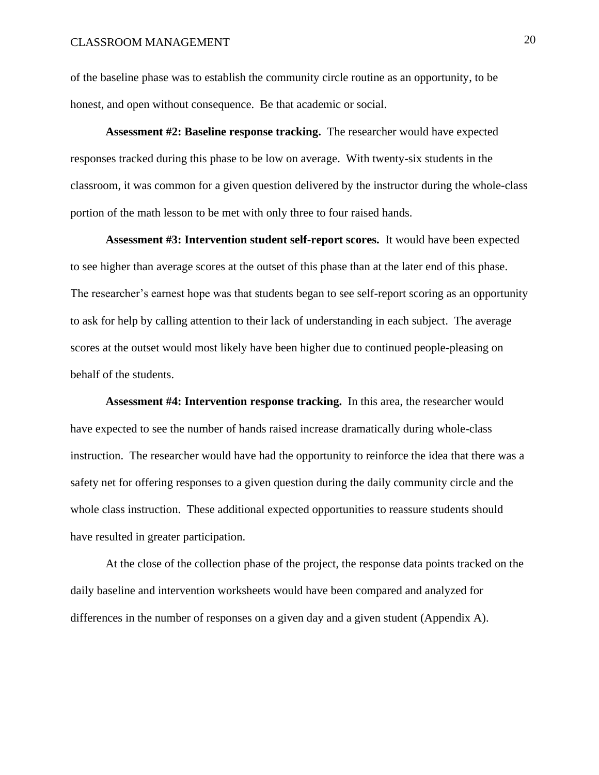of the baseline phase was to establish the community circle routine as an opportunity, to be honest, and open without consequence. Be that academic or social.

**Assessment #2: Baseline response tracking.** The researcher would have expected responses tracked during this phase to be low on average. With twenty-six students in the classroom, it was common for a given question delivered by the instructor during the whole-class portion of the math lesson to be met with only three to four raised hands.

**Assessment #3: Intervention student self-report scores.** It would have been expected to see higher than average scores at the outset of this phase than at the later end of this phase. The researcher's earnest hope was that students began to see self-report scoring as an opportunity to ask for help by calling attention to their lack of understanding in each subject. The average scores at the outset would most likely have been higher due to continued people-pleasing on behalf of the students.

**Assessment #4: Intervention response tracking.** In this area, the researcher would have expected to see the number of hands raised increase dramatically during whole-class instruction. The researcher would have had the opportunity to reinforce the idea that there was a safety net for offering responses to a given question during the daily community circle and the whole class instruction. These additional expected opportunities to reassure students should have resulted in greater participation.

At the close of the collection phase of the project, the response data points tracked on the daily baseline and intervention worksheets would have been compared and analyzed for differences in the number of responses on a given day and a given student (Appendix A).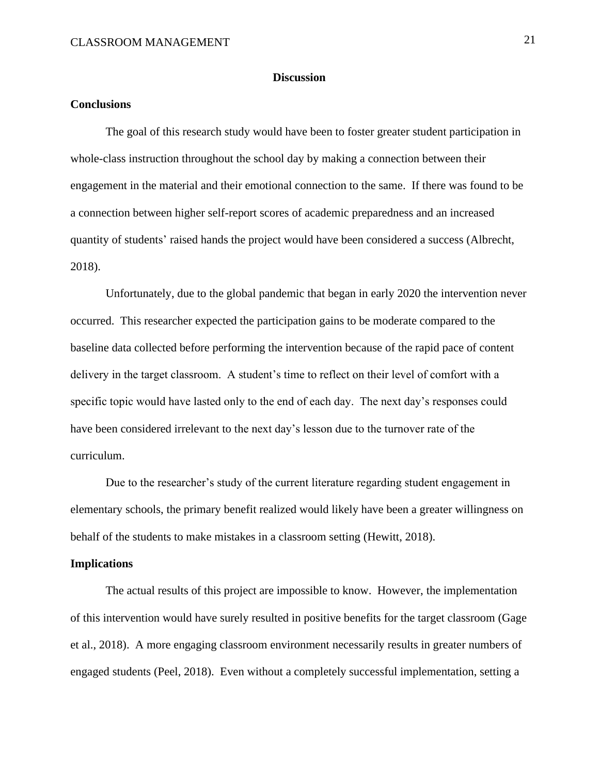#### **Discussion**

### <span id="page-22-1"></span><span id="page-22-0"></span>**Conclusions**

The goal of this research study would have been to foster greater student participation in whole-class instruction throughout the school day by making a connection between their engagement in the material and their emotional connection to the same. If there was found to be a connection between higher self-report scores of academic preparedness and an increased quantity of students' raised hands the project would have been considered a success (Albrecht, 2018).

Unfortunately, due to the global pandemic that began in early 2020 the intervention never occurred. This researcher expected the participation gains to be moderate compared to the baseline data collected before performing the intervention because of the rapid pace of content delivery in the target classroom. A student's time to reflect on their level of comfort with a specific topic would have lasted only to the end of each day. The next day's responses could have been considered irrelevant to the next day's lesson due to the turnover rate of the curriculum.

Due to the researcher's study of the current literature regarding student engagement in elementary schools, the primary benefit realized would likely have been a greater willingness on behalf of the students to make mistakes in a classroom setting (Hewitt, 2018).

#### <span id="page-22-2"></span>**Implications**

The actual results of this project are impossible to know. However, the implementation of this intervention would have surely resulted in positive benefits for the target classroom (Gage et al., 2018). A more engaging classroom environment necessarily results in greater numbers of engaged students (Peel, 2018). Even without a completely successful implementation, setting a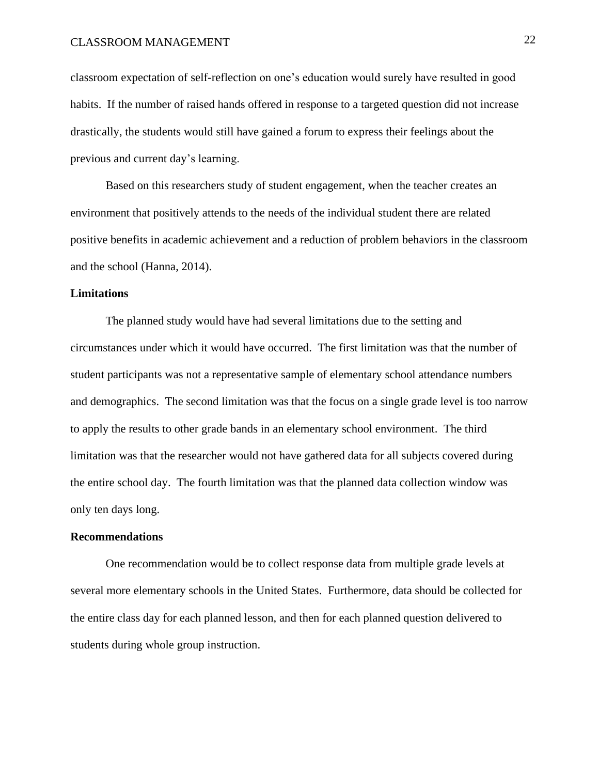classroom expectation of self-reflection on one's education would surely have resulted in good habits. If the number of raised hands offered in response to a targeted question did not increase drastically, the students would still have gained a forum to express their feelings about the previous and current day's learning.

Based on this researchers study of student engagement, when the teacher creates an environment that positively attends to the needs of the individual student there are related positive benefits in academic achievement and a reduction of problem behaviors in the classroom and the school (Hanna, 2014).

#### <span id="page-23-0"></span>**Limitations**

The planned study would have had several limitations due to the setting and circumstances under which it would have occurred. The first limitation was that the number of student participants was not a representative sample of elementary school attendance numbers and demographics. The second limitation was that the focus on a single grade level is too narrow to apply the results to other grade bands in an elementary school environment. The third limitation was that the researcher would not have gathered data for all subjects covered during the entire school day. The fourth limitation was that the planned data collection window was only ten days long.

#### <span id="page-23-1"></span>**Recommendations**

One recommendation would be to collect response data from multiple grade levels at several more elementary schools in the United States. Furthermore, data should be collected for the entire class day for each planned lesson, and then for each planned question delivered to students during whole group instruction.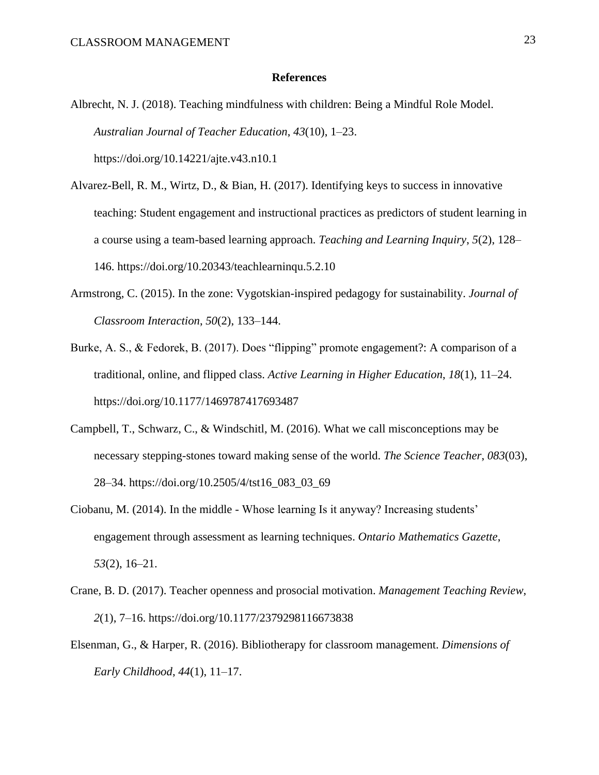#### **References**

- <span id="page-24-0"></span>Albrecht, N. J. (2018). Teaching mindfulness with children: Being a Mindful Role Model. *Australian Journal of Teacher Education*, *43*(10), 1–23. https://doi.org/10.14221/ajte.v43.n10.1
- Alvarez-Bell, R. M., Wirtz, D., & Bian, H. (2017). Identifying keys to success in innovative teaching: Student engagement and instructional practices as predictors of student learning in a course using a team-based learning approach. *Teaching and Learning Inquiry*, *5*(2), 128– 146. https://doi.org/10.20343/teachlearninqu.5.2.10
- Armstrong, C. (2015). In the zone: Vygotskian-inspired pedagogy for sustainability. *Journal of Classroom Interaction*, *50*(2), 133–144.
- Burke, A. S., & Fedorek, B. (2017). Does "flipping" promote engagement?: A comparison of a traditional, online, and flipped class. *Active Learning in Higher Education*, *18*(1), 11–24. https://doi.org/10.1177/1469787417693487
- Campbell, T., Schwarz, C., & Windschitl, M. (2016). What we call misconceptions may be necessary stepping-stones toward making sense of the world. *The Science Teacher*, *083*(03), 28–34. https://doi.org/10.2505/4/tst16\_083\_03\_69
- Ciobanu, M. (2014). In the middle Whose learning Is it anyway? Increasing students' engagement through assessment as learning techniques. *Ontario Mathematics Gazette*, *53*(2), 16–21.
- Crane, B. D. (2017). Teacher openness and prosocial motivation. *Management Teaching Review*, *2*(1), 7–16. https://doi.org/10.1177/2379298116673838
- Elsenman, G., & Harper, R. (2016). Bibliotherapy for classroom management. *Dimensions of Early Childhood*, *44*(1), 11–17.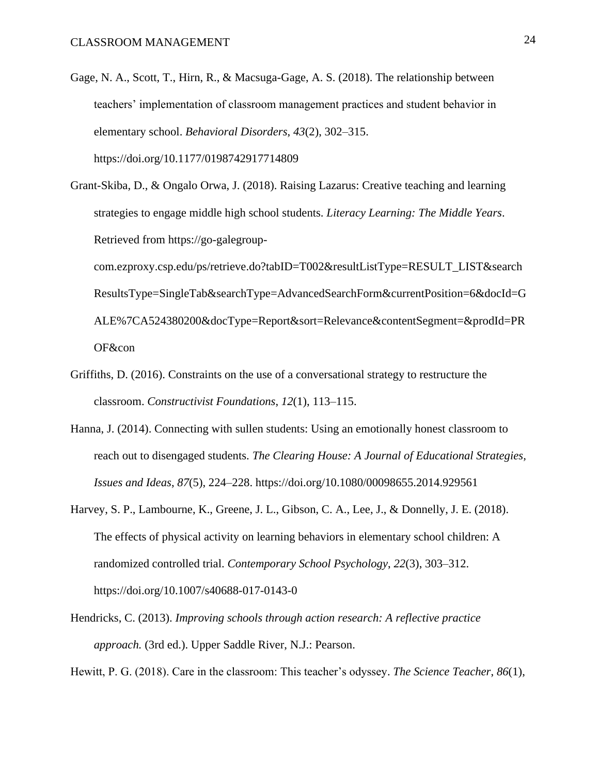- Gage, N. A., Scott, T., Hirn, R., & Macsuga-Gage, A. S. (2018). The relationship between teachers' implementation of classroom management practices and student behavior in elementary school. *Behavioral Disorders*, *43*(2), 302–315. https://doi.org/10.1177/0198742917714809
- Grant-Skiba, D., & Ongalo Orwa, J. (2018). Raising Lazarus: Creative teaching and learning strategies to engage middle high school students. *Literacy Learning: The Middle Years*. Retrieved from https://go-galegroup-

com.ezproxy.csp.edu/ps/retrieve.do?tabID=T002&resultListType=RESULT\_LIST&search ResultsType=SingleTab&searchType=AdvancedSearchForm&currentPosition=6&docId=G ALE%7CA524380200&docType=Report&sort=Relevance&contentSegment=&prodId=PR OF&con

- Griffiths, D. (2016). Constraints on the use of a conversational strategy to restructure the classroom. *Constructivist Foundations*, *12*(1), 113–115.
- Hanna, J. (2014). Connecting with sullen students: Using an emotionally honest classroom to reach out to disengaged students. *The Clearing House: A Journal of Educational Strategies, Issues and Ideas*, *87*(5), 224–228. https://doi.org/10.1080/00098655.2014.929561
- Harvey, S. P., Lambourne, K., Greene, J. L., Gibson, C. A., Lee, J., & Donnelly, J. E. (2018). The effects of physical activity on learning behaviors in elementary school children: A randomized controlled trial. *Contemporary School Psychology*, *22*(3), 303–312. https://doi.org/10.1007/s40688-017-0143-0
- Hendricks, C. (2013). *Improving schools through action research: A reflective practice approach.* (3rd ed.). Upper Saddle River, N.J.: Pearson.

Hewitt, P. G. (2018). Care in the classroom: This teacher's odyssey. *The Science Teacher*, *86*(1),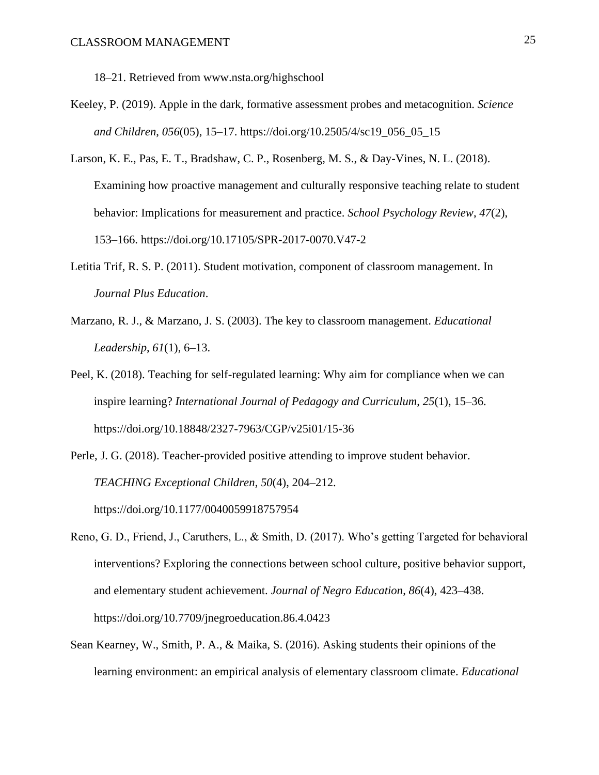18–21. Retrieved from www.nsta.org/highschool

- Keeley, P. (2019). Apple in the dark, formative assessment probes and metacognition. *Science and Children*, *056*(05), 15–17. https://doi.org/10.2505/4/sc19\_056\_05\_15
- Larson, K. E., Pas, E. T., Bradshaw, C. P., Rosenberg, M. S., & Day-Vines, N. L. (2018). Examining how proactive management and culturally responsive teaching relate to student behavior: Implications for measurement and practice. *School Psychology Review*, *47*(2), 153–166. https://doi.org/10.17105/SPR-2017-0070.V47-2
- Letitia Trif, R. S. P. (2011). Student motivation, component of classroom management. In *Journal Plus Education*.
- Marzano, R. J., & Marzano, J. S. (2003). The key to classroom management. *Educational Leadership*, *61*(1), 6–13.
- Peel, K. (2018). Teaching for self-regulated learning: Why aim for compliance when we can inspire learning? *International Journal of Pedagogy and Curriculum*, *25*(1), 15–36. https://doi.org/10.18848/2327-7963/CGP/v25i01/15-36
- Perle, J. G. (2018). Teacher-provided positive attending to improve student behavior. *TEACHING Exceptional Children*, *50*(4), 204–212. https://doi.org/10.1177/0040059918757954
- Reno, G. D., Friend, J., Caruthers, L., & Smith, D. (2017). Who's getting Targeted for behavioral interventions? Exploring the connections between school culture, positive behavior support, and elementary student achievement. *Journal of Negro Education*, *86*(4), 423–438. https://doi.org/10.7709/jnegroeducation.86.4.0423
- Sean Kearney, W., Smith, P. A., & Maika, S. (2016). Asking students their opinions of the learning environment: an empirical analysis of elementary classroom climate. *Educational*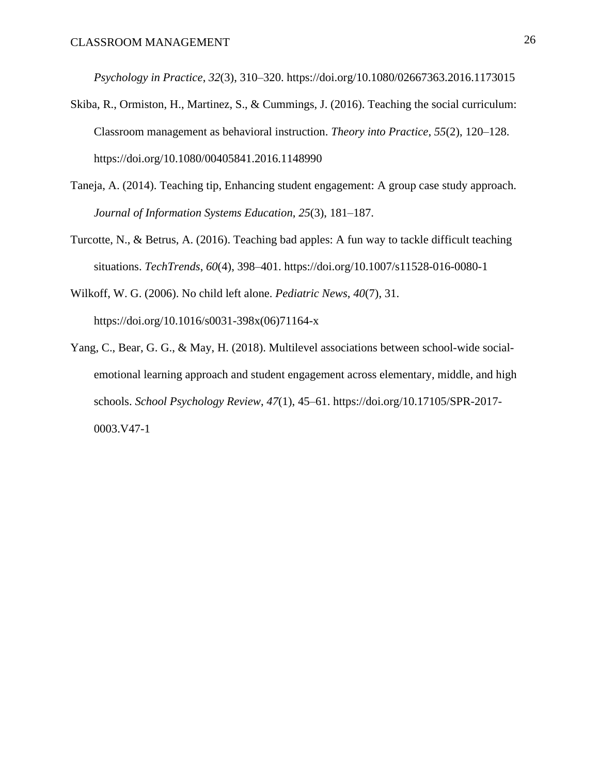*Psychology in Practice*, *32*(3), 310–320. https://doi.org/10.1080/02667363.2016.1173015

- Skiba, R., Ormiston, H., Martinez, S., & Cummings, J. (2016). Teaching the social curriculum: Classroom management as behavioral instruction. *Theory into Practice*, *55*(2), 120–128. https://doi.org/10.1080/00405841.2016.1148990
- Taneja, A. (2014). Teaching tip, Enhancing student engagement: A group case study approach. *Journal of Information Systems Education*, *25*(3), 181–187.
- Turcotte, N., & Betrus, A. (2016). Teaching bad apples: A fun way to tackle difficult teaching situations. *TechTrends*, *60*(4), 398–401. https://doi.org/10.1007/s11528-016-0080-1
- Wilkoff, W. G. (2006). No child left alone. *Pediatric News*, *40*(7), 31. https://doi.org/10.1016/s0031-398x(06)71164-x
- Yang, C., Bear, G. G., & May, H. (2018). Multilevel associations between school-wide socialemotional learning approach and student engagement across elementary, middle, and high schools. *School Psychology Review*, *47*(1), 45–61. https://doi.org/10.17105/SPR-2017- 0003.V47-1